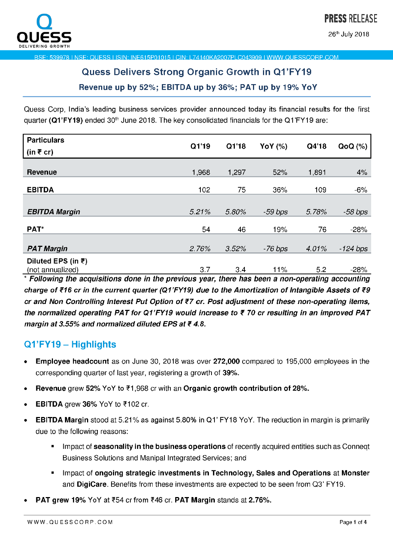

26<sup>th</sup> July 2018

BSE: 539978 LNSE: QUESS LISIN: INF615P01015 LCIN: L74140KA2007PLC043909 LWWW QUESSCOBP COM

## Quess Delivers Strong Organic Growth in Q1'FY19 Revenue up by 52%; EBITDA up by 36%; PAT up by 19% YoY

Quess Corp, India's leading business services provider announced today its financial results for the first quarter ( $Q1'FY19$ ) ended 30<sup>th</sup> June 2018. The key consolidated financials for the Q1'FY19 are:

| <b>Particulars</b>                     | Q1'19 | Q1'18 |                | Q4'18 |            |
|----------------------------------------|-------|-------|----------------|-------|------------|
| (in ₹ cr)                              |       |       | <b>YoY</b> (%) |       | $QoQ(\%)$  |
|                                        |       |       |                |       |            |
| Revenue                                | 1.968 | 1,297 | 52%            | 1,891 | 4%         |
| <b>EBITDA</b>                          | 102   | 75    | 36%            | 109   | $-6%$      |
|                                        |       |       |                |       |            |
| <b>EBITDA Margin</b>                   | 5.21% | 5.80% | $-59$ $bps$    | 5.78% | $-58$ bps  |
| PAT*                                   | 54    | 46    | 19%            | 76    | $-28%$     |
|                                        |       |       |                |       |            |
| <b>PAT Margin</b>                      | 2.76% | 3.52% | $-76$ bps      | 4.01% | $-124$ bps |
| Diluted EPS (in ₹)<br>(not annualized) | 3.7   | 3.4   | 11%            | 5.2   | $-28%$     |

(not annualized) 3.7 3.4 11% 5.2 —28% \* Following the acquisitions done in the previous year, there has been a non-operating accounting charge of ₹16 cr in the current quarter (Q1'FY19) due to the Amortization of Intangible Assets of ₹9 cr and Non Controlling Interest Put Option of ₹7 cr. Post adjustment of these non-operating items, the normalized operating PAT for Q1'FY19 would increase to  $\bar{\tau}$  70 cr resulting in an improved PAT margin at 3.55% and normalized diluted EPS at  $\bar{\tau}$  4.8.

### Q1'FY19 — Highlights

- . Employee headcount as on June 30, 2018 was over 272,000 compared to 195,000 employees in the corresponding quarter of last year, registering a growth of 39%.
- Revenue grew 52% YoY to  $\overline{z}1,968$  cr with an Organic growth contribution of 28%.
- EBITDA grew 36% YoY to  $\overline{5}$ 102 cr.
- **EBITDA Margin** stood at 5.21% as against 5.80% in Q1' FY18 YoY. The reduction in margin is primarily due to the following reasons:
	- Impact of **seasonality in the business operations** of recently acquired entities such as Conneqt Business Solutions and Manipal Integrated Services; and
	- Impact of ongoing strategic investments in Technology, Sales and Operations at Monster and DigiCare. Benefits from these investments are expected to be seen from 03' FY19.
- PAT grew 19% YoY at ₹54 cr from ₹46 cr. PAT Margin stands at 2.76%.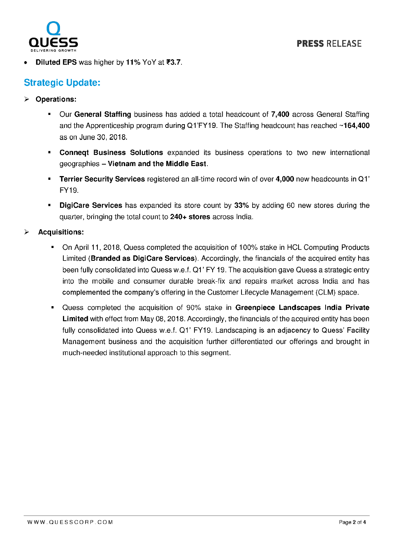

Diluted EPS was higher by 11% YoY at  $\overline{33.7}$ .

### Strategic Update:

- > Operations:
	- Our General Staffing business has added a total headcount of 7,400 across General Staffing and the Apprenticeship program during Q1 FY19. The Staffing headcount has reached  $\sim$ 164,400 as on June 30, 2018.
	- **Conneqt Business Solutions** expanded its business operations to two new international geographies — Vietnam and the Middle East.
	- **Terrier Security Services** registered an all-time record win of over 4,000 new headcounts in Q1' FY19.
	- $\mathbf{m}$  ,  $\mathbf{m}$ DigiCare Services has expanded its store count by 33% by adding 60 new stores during the quarter, bringing the total count to 240+ stores across India.
- Acquisitions:
	- On April 11, 2018, Guess completed the acquisition of 100% stake in HCL Computing Products Limited (Branded as DigiCare Services). Accordingly, the financials of the acquired entity has been fully consolidated into Quess w.e.f. Q1' FY 19. The acquisition gave Quess a strategic entry into the mobile and consumer durable break—fix and repairs market across India and has complemented the company's offering in the Customer Lifecycle Management (CLM) space.
	- Quess completed the acquisition of 90% stake in Greenpiece Landscapes India Private  $\blacksquare$ Limited with effect from May 08, 2018. Accordingly, the financials of the acquired entity has been fully consolidated into Quess w.e.f. Q1' FY19. Landscaping is an adjacency to Quess' Facility Management business and the acquisition further differentiated our offerings and brought in much—needed institutional approach to this segment.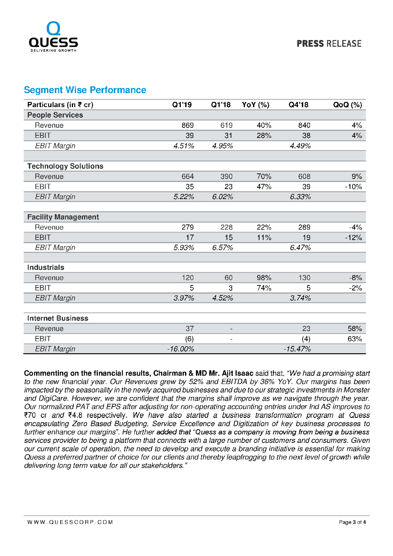

### Segment Wise Performance

| Particulars (in ₹ cr)       | Q1'19     | Q1'18                    | YoY (%) | Q4'18     | $Q_0Q(\%)$ |
|-----------------------------|-----------|--------------------------|---------|-----------|------------|
| <b>People Services</b>      |           |                          |         |           |            |
| Revenue                     | 869       | 619                      | 40%     | 840       | 4%         |
| <b>EBIT</b>                 | 39        | 31                       | 28%     | 38        | 4%         |
| <b>EBIT Margin</b>          | 4.51%     | 4.95%                    |         | 4.49%     |            |
|                             |           |                          |         |           |            |
| <b>Technology Solutions</b> |           |                          |         |           |            |
| Revenue                     | 664       | 390                      | 70%     | 608       | 9%         |
| <b>EBIT</b>                 | 35        | 23                       | 47%     | 39        | $-10%$     |
| <b>EBIT Margin</b>          | 5.22%     | 6.02%                    |         | 6.33%     |            |
|                             |           |                          |         |           |            |
| <b>Facility Management</b>  |           |                          |         |           |            |
| Revenue                     | 279       | 228                      | 22%     | 289       | $-4%$      |
| <b>EBIT</b>                 | 17        | 15                       | 11%     | 19        | $-12%$     |
| <b>EBIT Margin</b>          | 5.93%     | 6.57%                    |         | 6.47%     |            |
|                             |           |                          |         |           |            |
| <b>Industrials</b>          |           |                          |         |           |            |
| Revenue                     | 120       | 60                       | 98%     | 130       | $-8%$      |
| <b>EBIT</b>                 | 5         | 3                        | 74%     | 5         | $-2%$      |
| <b>EBIT Margin</b>          | 3.97%     | 4 5 2%                   |         | 3.74%     |            |
|                             |           |                          |         |           |            |
| <b>Internet Business</b>    |           |                          |         |           |            |
| Revenue                     | 37        | $\overline{\phantom{a}}$ |         | 23        | 58%        |
| <b>EBIT</b>                 | (6)       | $\qquad \qquad -$        |         | (4)       | 63%        |
| <b>EBIT Margin</b>          | $-16.00%$ |                          |         | $-15.47%$ |            |

Commenting on the financial results, Chairman & MD Mr. Ajit Isaac said that, "We had a promising start to the new financial year. Our Revenues grew by 52% and EBITDA by 36% YoY. Our margins has been impacted by the seasonality in the newly acquired businesses and due to our strategic investments in Monster and DigiCare. However, we are confident that the margins shall improve as we navigate through the year. Our normalized PAT and EPS after adjusting for non-operating accounting entries under Ind AS improves to €70 or and ?4.8 respectively. We have also started a business transformation program at Quess encapsulating Zero Based Budgeting, Service Excellence and Digitization of key business processes to further enhance our margins". He further added that "Quess as a company is moving from being a business services provider to being a platform that connects with a large number of customers and consumers. Given our current scale of operation, the need to develop and execute a branding initiative is essential for making Quess a preferred partner of choice for our clients and thereby leapfrogging to the next level of growth while delivering long term value for all our stakeholders."